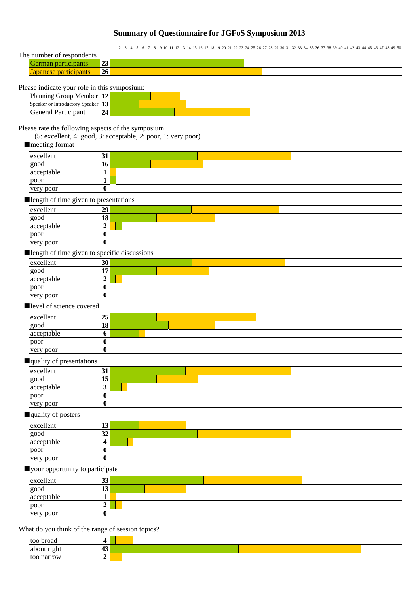# **Summary of Questionnaire for JGFoS Symposium 2013**

1 2 3 4 5 6 7 8 9 10 11 12 13 14 15 16 17 18 19 20 21 22 23 24 25 26 27 28 29 30 31 32 33 34 35 36 37 38 39 40 41 42 43 44 45 46 47 48 49 50

| The number of respondents                    |                 |  |
|----------------------------------------------|-----------------|--|
| German participants                          | 23              |  |
| Japanese participants                        | 26 <sub>1</sub> |  |
| Please indicate your role in this symposium. |                 |  |

#### Please indicate your role in this symposium:

| Planning<br>$1^{\circ}$<br>Member<br>Group<br>-14                           |  |  |  |
|-----------------------------------------------------------------------------|--|--|--|
| $\rightarrow$<br>Speaker or<br>Speaker<br>: Introductory<br>1. <sub>3</sub> |  |  |  |
| 24<br>General<br>Participant                                                |  |  |  |

### Please rate the following aspects of the symposium

(5: excellent, 4: good, 3: acceptable, 2: poor, 1: very poor)

#### ■ meeting format

| excellent  | IJ |  |
|------------|----|--|
| good       | 10 |  |
| acceptable |    |  |
| poor       |    |  |
| very poor  |    |  |

#### ■length of time given to presentations

| excellent  | 29      |  |  |  |  |  |  |
|------------|---------|--|--|--|--|--|--|
| good       | 18      |  |  |  |  |  |  |
| acceptable |         |  |  |  |  |  |  |
| poor       | ́^      |  |  |  |  |  |  |
| very poor  | ́^<br>v |  |  |  |  |  |  |

### ■length of time given to specific discussions

| excellent  | 30 |  |
|------------|----|--|
| good       | -  |  |
| acceptable |    |  |
| poor       |    |  |
| very poor  |    |  |

#### ■level of science covered

| excellent  | ^~<br>25 |  |  |  |  |
|------------|----------|--|--|--|--|
| good       | 18       |  |  |  |  |
| acceptable | v        |  |  |  |  |
| poor       |          |  |  |  |  |
| very poor  |          |  |  |  |  |

### ■quality of presentations

| excellent  | 31       |  |  |  |  |  |  |
|------------|----------|--|--|--|--|--|--|
| good       | --<br>15 |  |  |  |  |  |  |
| acceptable | ູ        |  |  |  |  |  |  |
| poor       |          |  |  |  |  |  |  |
| very poor  | υ        |  |  |  |  |  |  |

## ■quality of posters

| excellent  | IJ             |  |
|------------|----------------|--|
| good       | $\Delta$<br>34 |  |
| acceptable |                |  |
| poor       | v              |  |
| very poor  | v              |  |

### ■your opportunity to participate

| excellent  | IJ  |  |  |
|------------|-----|--|--|
| good       | 1.J |  |  |
| acceptable |     |  |  |
| poor<br>ட  |     |  |  |
| very poor  |     |  |  |

### What do you think of the range of session topics?

| <b>too</b><br>broad |                      |  |
|---------------------|----------------------|--|
| right<br>about      | $\overline{a}$<br>≖∾ |  |
| narrow<br>too       | ◢                    |  |